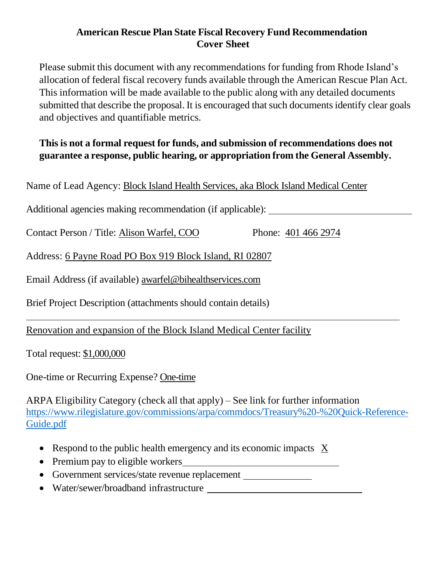## **American Rescue Plan State Fiscal Recovery Fund Recommendation Cover Sheet**

Please submit this document with any recommendations for funding from Rhode Island's allocation of federal fiscal recovery funds available through the American Rescue Plan Act. This information will be made available to the public along with any detailed documents submitted that describe the proposal. It is encouraged that such documentsidentify clear goals and objectives and quantifiable metrics.

## **This is not a formal request for funds, and submission of recommendations does not guarantee a response, public hearing, or appropriation from the General Assembly.**

Name of Lead Agency: Block Island Health Services, aka Block Island Medical Center

Additional agencies making recommendation (if applicable):

Contact Person / Title: Alison Warfel, COO Phone: 401 466 2974

Address: 6 Payne Road PO Box 919 Block Island, RI 02807

Email Address (if available) awarfel@bihealthservices.com

Brief Project Description (attachments should contain details)

Renovation and expansion of the Block Island Medical Center facility

Total request: \$1,000,000

One-time or Recurring Expense? One-time

ARPA Eligibility Category (check all that apply) – See link for further information [https://www.rilegislature.gov/commissions/arpa/commdocs/Treasury%20-%20Quick-Reference-](https://www.rilegislature.gov/commissions/arpa/commdocs/Treasury%20-%20Quick-Reference-Guide.pdf)[Guide.pdf](https://www.rilegislature.gov/commissions/arpa/commdocs/Treasury%20-%20Quick-Reference-Guide.pdf)

- Respond to the public health emergency and its economic impacts X
- Premium pay to eligible workers
- Government services/state revenue replacement
- Water/sewer/broadband infrastructure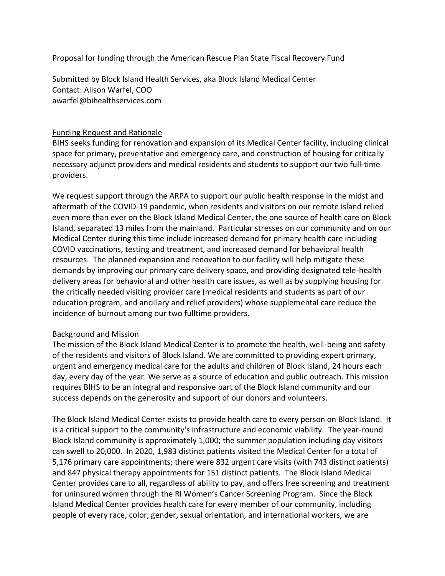Proposal for funding through the American Rescue Plan State Fiscal Recovery Fund

Submitted by Block Island Health Services, aka Block Island Medical Center Contact: Alison Warfel, COO awarfel@bihealthservices.com

## Funding Request and Rationale

BIHS seeks funding for renovation and expansion of its Medical Center facility, including clinical space for primary, preventative and emergency care, and construction of housing for critically necessary adjunct providers and medical residents and students to support our two full-time providers.

We request support through the ARPA to support our public health response in the midst and aftermath of the COVID-19 pandemic, when residents and visitors on our remote island relied even more than ever on the Block Island Medical Center, the one source of health care on Block Island, separated 13 miles from the mainland. Particular stresses on our community and on our Medical Center during this time include increased demand for primary health care including COVID vaccinations, testing and treatment, and increased demand for behavioral health resources. The planned expansion and renovation to our facility will help mitigate these demands by improving our primary care delivery space, and providing designated tele-health delivery areas for behavioral and other health care issues, as well as by supplying housing for the critically needed visiting provider care (medical residents and students as part of our education program, and ancillary and relief providers) whose supplemental care reduce the incidence of burnout among our two fulltime providers.

## Background and Mission

The mission of the Block Island Medical Center is to promote the health, well-being and safety of the residents and visitors of Block Island. We are committed to providing expert primary, urgent and emergency medical care for the adults and children of Block Island, 24 hours each day, every day of the year. We serve as a source of education and public outreach. This mission requires BIHS to be an integral and responsive part of the Block Island community and our success depends on the generosity and support of our donors and volunteers.

The Block Island Medical Center exists to provide health care to every person on Block Island. It is a critical support to the community's infrastructure and economic viability. The year-round Block Island community is approximately 1,000; the summer population including day visitors can swell to 20,000. In 2020, 1,983 distinct patients visited the Medical Center for a total of 5,176 primary care appointments; there were 832 urgent care visits (with 743 distinct patients) and 847 physical therapy appointments for 151 distinct patients. The Block Island Medical Center provides care to all, regardless of ability to pay, and offers free screening and treatment for uninsured women through the RI Women's Cancer Screening Program. Since the Block Island Medical Center provides health care for every member of our community, including people of every race, color, gender, sexual orientation, and international workers, we are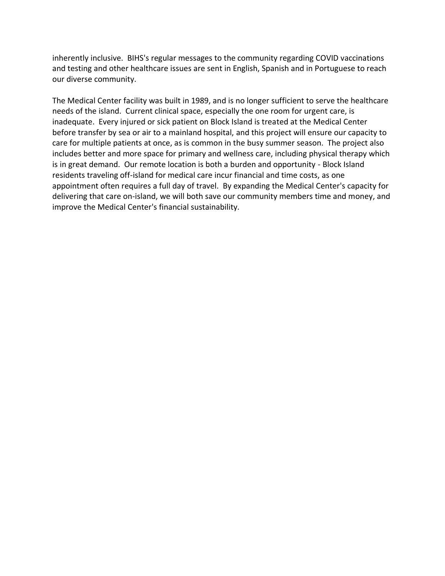inherently inclusive. BIHS's regular messages to the community regarding COVID vaccinations and testing and other healthcare issues are sent in English, Spanish and in Portuguese to reach our diverse community.

The Medical Center facility was built in 1989, and is no longer sufficient to serve the healthcare needs of the island. Current clinical space, especially the one room for urgent care, is inadequate. Every injured or sick patient on Block Island is treated at the Medical Center before transfer by sea or air to a mainland hospital, and this project will ensure our capacity to care for multiple patients at once, as is common in the busy summer season. The project also includes better and more space for primary and wellness care, including physical therapy which is in great demand. Our remote location is both a burden and opportunity - Block Island residents traveling off-island for medical care incur financial and time costs, as one appointment often requires a full day of travel. By expanding the Medical Center's capacity for delivering that care on-island, we will both save our community members time and money, and improve the Medical Center's financial sustainability.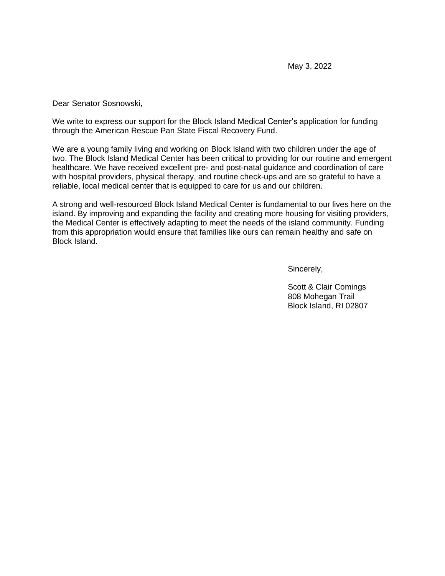Dear Senator Sosnowski,

We write to express our support for the Block Island Medical Center's application for funding through the American Rescue Pan State Fiscal Recovery Fund.

We are a young family living and working on Block Island with two children under the age of two. The Block Island Medical Center has been critical to providing for our routine and emergent healthcare. We have received excellent pre- and post-natal guidance and coordination of care with hospital providers, physical therapy, and routine check-ups and are so grateful to have a reliable, local medical center that is equipped to care for us and our children.

A strong and well-resourced Block Island Medical Center is fundamental to our lives here on the island. By improving and expanding the facility and creating more housing for visiting providers, the Medical Center is effectively adapting to meet the needs of the island community. Funding from this appropriation would ensure that families like ours can remain healthy and safe on Block Island.

Sincerely,

Scott & Clair Comings 808 Mohegan Trail Block Island, RI 02807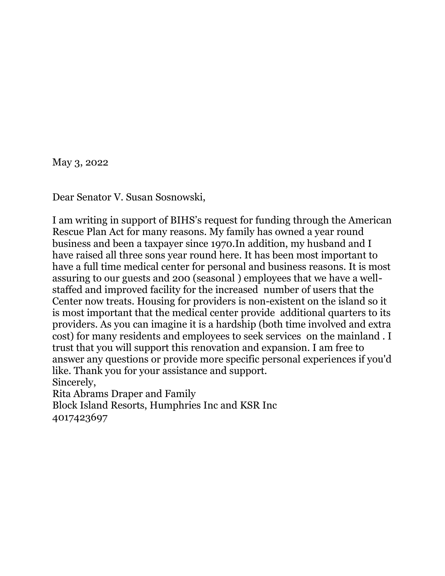May 3, 2022

Dear Senator V. Susan Sosnowski,

I am writing in support of BIHS's request for funding through the American Rescue Plan Act for many reasons. My family has owned a year round business and been a taxpayer since 1970.In addition, my husband and I have raised all three sons year round here. It has been most important to have a full time medical center for personal and business reasons. It is most assuring to our guests and 200 (seasonal ) employees that we have a wellstaffed and improved facility for the increased number of users that the Center now treats. Housing for providers is non-existent on the island so it is most important that the medical center provide additional quarters to its providers. As you can imagine it is a hardship (both time involved and extra cost) for many residents and employees to seek services on the mainland . I trust that you will support this renovation and expansion. I am free to answer any questions or provide more specific personal experiences if you'd like. Thank you for your assistance and support. Sincerely, Rita Abrams Draper and Family

Block Island Resorts, Humphries Inc and KSR Inc 4017423697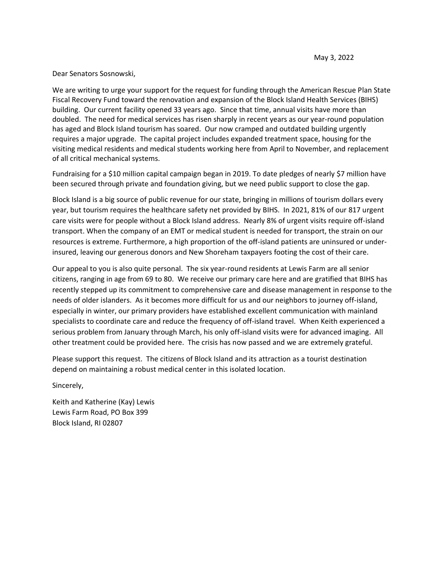Dear Senators Sosnowski,

We are writing to urge your support for the request for funding through the American Rescue Plan State Fiscal Recovery Fund toward the renovation and expansion of the Block Island Health Services (BIHS) building. Our current facility opened 33 years ago. Since that time, annual visits have more than doubled. The need for medical services has risen sharply in recent years as our year-round population has aged and Block Island tourism has soared. Our now cramped and outdated building urgently requires a major upgrade. The capital project includes expanded treatment space, housing for the visiting medical residents and medical students working here from April to November, and replacement of all critical mechanical systems.

Fundraising for a \$10 million capital campaign began in 2019. To date pledges of nearly \$7 million have been secured through private and foundation giving, but we need public support to close the gap.

Block Island is a big source of public revenue for our state, bringing in millions of tourism dollars every year, but tourism requires the healthcare safety net provided by BIHS. In 2021, 81% of our 817 urgent care visits were for people without a Block Island address. Nearly 8% of urgent visits require off-island transport. When the company of an EMT or medical student is needed for transport, the strain on our resources is extreme. Furthermore, a high proportion of the off-island patients are uninsured or underinsured, leaving our generous donors and New Shoreham taxpayers footing the cost of their care.

Our appeal to you is also quite personal. The six year-round residents at Lewis Farm are all senior citizens, ranging in age from 69 to 80. We receive our primary care here and are gratified that BIHS has recently stepped up its commitment to comprehensive care and disease management in response to the needs of older islanders. As it becomes more difficult for us and our neighbors to journey off-island, especially in winter, our primary providers have established excellent communication with mainland specialists to coordinate care and reduce the frequency of off-island travel. When Keith experienced a serious problem from January through March, his only off-island visits were for advanced imaging. All other treatment could be provided here. The crisis has now passed and we are extremely grateful.

Please support this request. The citizens of Block Island and its attraction as a tourist destination depend on maintaining a robust medical center in this isolated location.

Sincerely,

Keith and Katherine (Kay) Lewis Lewis Farm Road, PO Box 399 Block Island, RI 02807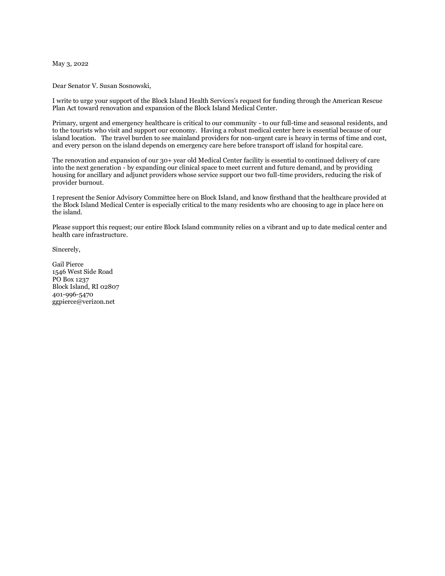May 3, 2022

Dear Senator V. Susan Sosnowski,

I write to urge your support of the Block Island Health Services's request for funding through the American Rescue Plan Act toward renovation and expansion of the Block Island Medical Center.

Primary, urgent and emergency healthcare is critical to our community - to our full-time and seasonal residents, and to the tourists who visit and support our economy. Having a robust medical center here is essential because of our island location. The travel burden to see mainland providers for non-urgent care is heavy in terms of time and cost, and every person on the island depends on emergency care here before transport off island for hospital care.

The renovation and expansion of our 30+ year old Medical Center facility is essential to continued delivery of care into the next generation - by expanding our clinical space to meet current and future demand, and by providing housing for ancillary and adjunct providers whose service support our two full-time providers, reducing the risk of provider burnout.

I represent the Senior Advisory Committee here on Block Island, and know firsthand that the healthcare provided at the Block Island Medical Center is especially critical to the many residents who are choosing to age in place here on the island.

Please support this request; our entire Block Island community relies on a vibrant and up to date medical center and health care infrastructure.

Sincerely,

Gail Pierce 1546 West Side Road PO Box 1237 Block Island, RI 02807 401-996-5470 ggpierce@verizon.net